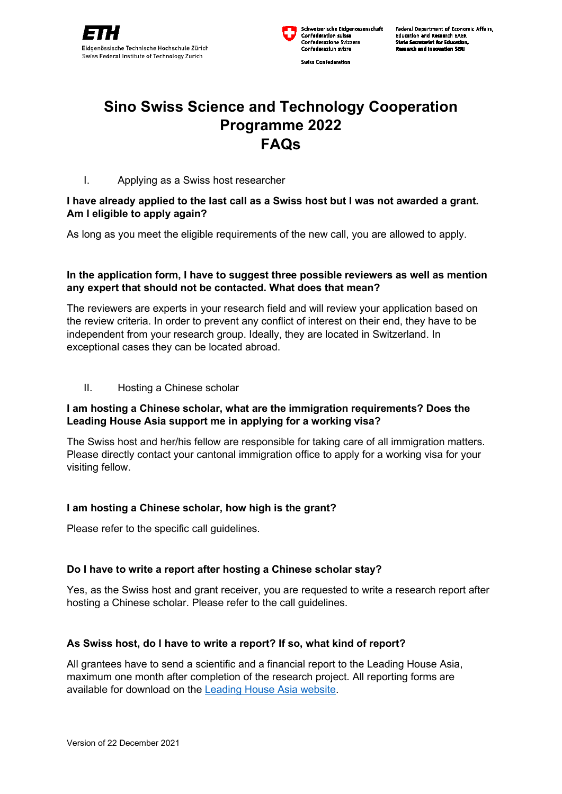



Swiss Confederation

Federal Department of Economic Affairs. **Education and Research EAER** te Secretariat for Edu **Research and Innovation SERI** 

# **Sino Swiss Science and Technology Cooperation Programme 2022 FAQs**

# I. Applying as a Swiss host researcher

# **I have already applied to the last call as a Swiss host but I was not awarded a grant. Am I eligible to apply again?**

As long as you meet the eligible requirements of the new call, you are allowed to apply.

# **In the application form, I have to suggest three possible reviewers as well as mention any expert that should not be contacted. What does that mean?**

The reviewers are experts in your research field and will review your application based on the review criteria. In order to prevent any conflict of interest on their end, they have to be independent from your research group. Ideally, they are located in Switzerland. In exceptional cases they can be located abroad.

#### II. Hosting a Chinese scholar

# **I am hosting a Chinese scholar, what are the immigration requirements? Does the Leading House Asia support me in applying for a working visa?**

The Swiss host and her/his fellow are responsible for taking care of all immigration matters. Please directly contact your cantonal immigration office to apply for a working visa for your visiting fellow.

#### **I am hosting a Chinese scholar, how high is the grant?**

Please refer to the specific call guidelines.

# **Do I have to write a report after hosting a Chinese scholar stay?**

Yes, as the Swiss host and grant receiver, you are requested to write a research report after hosting a Chinese scholar. Please refer to the call guidelines.

# **As Swiss host, do I have to write a report? If so, what kind of report?**

All grantees have to send a scientific and a financial report to the Leading House Asia, maximum one month after completion of the research project. All reporting forms are available for download on the [Leading House Asia website.](https://leadinghouseasia.ethz.ch/resources/reportingforms.html)